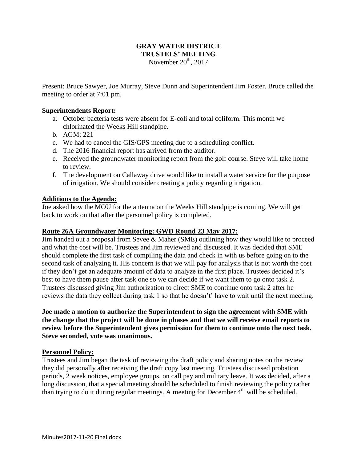# **GRAY WATER DISTRICT TRUSTEES' MEETING** November  $20<sup>th</sup>$ , 2017

Present: Bruce Sawyer, Joe Murray, Steve Dunn and Superintendent Jim Foster. Bruce called the meeting to order at 7:01 pm.

# **Superintendents Report:**

- a. October bacteria tests were absent for E-coli and total coliform. This month we chlorinated the Weeks Hill standpipe.
- b. AGM: 221
- c. We had to cancel the GIS/GPS meeting due to a scheduling conflict.
- d. The 2016 financial report has arrived from the auditor.
- e. Received the groundwater monitoring report from the golf course. Steve will take home to review.
- f. The development on Callaway drive would like to install a water service for the purpose of irrigation. We should consider creating a policy regarding irrigation.

# **Additions to the Agenda:**

Joe asked how the MOU for the antenna on the Weeks Hill standpipe is coming. We will get back to work on that after the personnel policy is completed.

### **Route 26A Groundwater Monitoring: GWD Round 23 May 2017:**

Jim handed out a proposal from Sevee & Maher (SME) outlining how they would like to proceed and what the cost will be. Trustees and Jim reviewed and discussed. It was decided that SME should complete the first task of compiling the data and check in with us before going on to the second task of analyzing it. His concern is that we will pay for analysis that is not worth the cost if they don't get an adequate amount of data to analyze in the first place. Trustees decided it's best to have them pause after task one so we can decide if we want them to go onto task 2. Trustees discussed giving Jim authorization to direct SME to continue onto task 2 after he reviews the data they collect during task 1 so that he doesn't' have to wait until the next meeting.

**Joe made a motion to authorize the Superintendent to sign the agreement with SME with the change that the project will be done in phases and that we will receive email reports to review before the Superintendent gives permission for them to continue onto the next task. Steve seconded, vote was unanimous.** 

#### **Personnel Policy:**

Trustees and Jim began the task of reviewing the draft policy and sharing notes on the review they did personally after receiving the draft copy last meeting. Trustees discussed probation periods, 2 week notices, employee groups, on call pay and military leave. It was decided, after a long discussion, that a special meeting should be scheduled to finish reviewing the policy rather than trying to do it during regular meetings. A meeting for December  $4<sup>th</sup>$  will be scheduled.